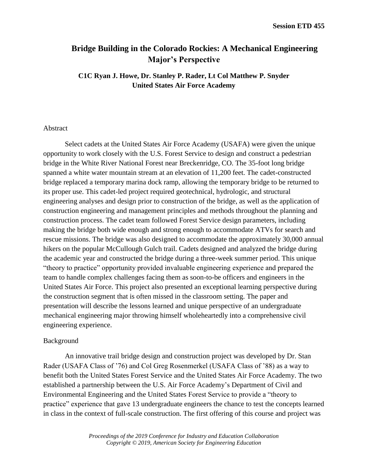# **Bridge Building in the Colorado Rockies: A Mechanical Engineering Major's Perspective**

**C1C Ryan J. Howe, Dr. Stanley P. Rader, Lt Col Matthew P. Snyder United States Air Force Academy**

# Abstract

Select cadets at the United States Air Force Academy (USAFA) were given the unique opportunity to work closely with the U.S. Forest Service to design and construct a pedestrian bridge in the White River National Forest near Breckenridge, CO. The 35-foot long bridge spanned a white water mountain stream at an elevation of 11,200 feet. The cadet-constructed bridge replaced a temporary marina dock ramp, allowing the temporary bridge to be returned to its proper use. This cadet-led project required geotechnical, hydrologic, and structural engineering analyses and design prior to construction of the bridge, as well as the application of construction engineering and management principles and methods throughout the planning and construction process. The cadet team followed Forest Service design parameters, including making the bridge both wide enough and strong enough to accommodate ATVs for search and rescue missions. The bridge was also designed to accommodate the approximately 30,000 annual hikers on the popular McCullough Gulch trail. Cadets designed and analyzed the bridge during the academic year and constructed the bridge during a three-week summer period. This unique "theory to practice" opportunity provided invaluable engineering experience and prepared the team to handle complex challenges facing them as soon-to-be officers and engineers in the United States Air Force. This project also presented an exceptional learning perspective during the construction segment that is often missed in the classroom setting. The paper and presentation will describe the lessons learned and unique perspective of an undergraduate mechanical engineering major throwing himself wholeheartedly into a comprehensive civil engineering experience.

## Background

An innovative trail bridge design and construction project was developed by Dr. Stan Rader (USAFA Class of '76) and Col Greg Rosenmerkel (USAFA Class of '88) as a way to benefit both the United States Forest Service and the United States Air Force Academy. The two established a partnership between the U.S. Air Force Academy's Department of Civil and Environmental Engineering and the United States Forest Service to provide a "theory to practice" experience that gave 13 undergraduate engineers the chance to test the concepts learned in class in the context of full-scale construction. The first offering of this course and project was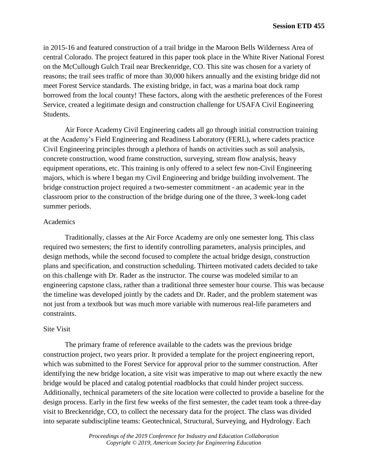in 2015-16 and featured construction of a trail bridge in the Maroon Bells Wilderness Area of central Colorado. The project featured in this paper took place in the White River National Forest on the McCullough Gulch Trail near Breckenridge, CO. This site was chosen for a variety of reasons; the trail sees traffic of more than 30,000 hikers annually and the existing bridge did not meet Forest Service standards. The existing bridge, in fact, was a marina boat dock ramp borrowed from the local county! These factors, along with the aesthetic preferences of the Forest Service, created a legitimate design and construction challenge for USAFA Civil Engineering Students.

Air Force Academy Civil Engineering cadets all go through initial construction training at the Academy's Field Engineering and Readiness Laboratory (FERL), where cadets practice Civil Engineering principles through a plethora of hands on activities such as soil analysis, concrete construction, wood frame construction, surveying, stream flow analysis, heavy equipment operations, etc. This training is only offered to a select few non-Civil Engineering majors, which is where I began my Civil Engineering and bridge building involvement. The bridge construction project required a two-semester commitment - an academic year in the classroom prior to the construction of the bridge during one of the three, 3 week-long cadet summer periods.

# Academics

Traditionally, classes at the Air Force Academy are only one semester long. This class required two semesters; the first to identify controlling parameters, analysis principles, and design methods, while the second focused to complete the actual bridge design, construction plans and specification, and construction scheduling. Thirteen motivated cadets decided to take on this challenge with Dr. Rader as the instructor. The course was modeled similar to an engineering capstone class, rather than a traditional three semester hour course. This was because the timeline was developed jointly by the cadets and Dr. Rader, and the problem statement was not just from a textbook but was much more variable with numerous real-life parameters and constraints.

# Site Visit

The primary frame of reference available to the cadets was the previous bridge construction project, two years prior. It provided a template for the project engineering report, which was submitted to the Forest Service for approval prior to the summer construction. After identifying the new bridge location, a site visit was imperative to map out where exactly the new bridge would be placed and catalog potential roadblocks that could hinder project success. Additionally, technical parameters of the site location were collected to provide a baseline for the design process. Early in the first few weeks of the first semester, the cadet team took a three-day visit to Breckenridge, CO, to collect the necessary data for the project. The class was divided into separate subdiscipline teams: Geotechnical, Structural, Surveying, and Hydrology. Each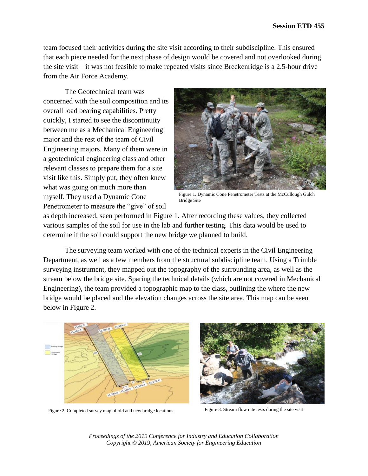team focused their activities during the site visit according to their subdiscipline. This ensured that each piece needed for the next phase of design would be covered and not overlooked during the site visit – it was not feasible to make repeated visits since Breckenridge is a 2.5-hour drive from the Air Force Academy.

The Geotechnical team was concerned with the soil composition and its overall load bearing capabilities. Pretty quickly, I started to see the discontinuity between me as a Mechanical Engineering major and the rest of the team of Civil Engineering majors. Many of them were in a geotechnical engineering class and other relevant classes to prepare them for a site visit like this. Simply put, they often knew what was going on much more than myself. They used a Dynamic Cone Penetrometer to measure the "give" of soil



Figure 1. Dynamic Cone Penetrometer Tests at the McCullough Gulch Bridge Site

as depth increased, seen performed in Figure 1. After recording these values, they collected various samples of the soil for use in the lab and further testing. This data would be used to determine if the soil could support the new bridge we planned to build.

The surveying team worked with one of the technical experts in the Civil Engineering Department, as well as a few members from the structural subdiscipline team. Using a Trimble surveying instrument, they mapped out the topography of the surrounding area, as well as the stream below the bridge site. Sparing the technical details (which are not covered in Mechanical Engineering), the team provided a topographic map to the class, outlining the where the new bridge would be placed and the elevation changes across the site area. This map can be seen below in Figure 2.



Figure 2. Completed survey map of old and new bridge locations Figure 3. Stream flow rate tests during the site visit

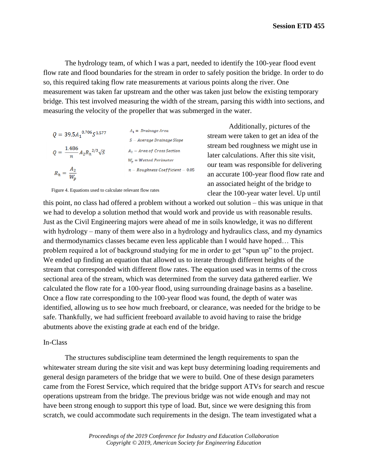The hydrology team, of which I was a part, needed to identify the 100-year flood event flow rate and flood boundaries for the stream in order to safely position the bridge. In order to do so, this required taking flow rate measurements at various points along the river. One measurement was taken far upstream and the other was taken just below the existing temporary bridge. This test involved measuring the width of the stream, parsing this width into sections, and measuring the velocity of the propeller that was submerged in the water.

| $Q = 39.5A_1^{0.706} S^{1.577}$              | $A_1 = \text{Drainage Area}$     |
|----------------------------------------------|----------------------------------|
|                                              | $S - Average Drainage Slope$     |
| $Q = \frac{1.486}{n} A_2 R_h^{2/3} \sqrt{S}$ | $A_2 = Area$ of Cross Section    |
|                                              | $W_p = W$ etted Perimeter        |
| $R_h = \frac{A_2}{W_p}$                      | $n-Roughness Coefficient - 0.05$ |

Additionally, pictures of the stream were taken to get an idea of the stream bed roughness we might use in later calculations. After this site visit, our team was responsible for delivering an accurate 100-year flood flow rate and an associated height of the bridge to clear the 100-year water level. Up until

Figure 4. Equations used to calculate relevant flow rates

this point, no class had offered a problem without a worked out solution – this was unique in that we had to develop a solution method that would work and provide us with reasonable results. Just as the Civil Engineering majors were ahead of me in soils knowledge, it was no different with hydrology – many of them were also in a hydrology and hydraulics class, and my dynamics and thermodynamics classes became even less applicable than I would have hoped… This problem required a lot of background studying for me in order to get "spun up" to the project. We ended up finding an equation that allowed us to iterate through different heights of the stream that corresponded with different flow rates. The equation used was in terms of the cross sectional area of the stream, which was determined from the survey data gathered earlier. We calculated the flow rate for a 100-year flood, using surrounding drainage basins as a baseline. Once a flow rate corresponding to the 100-year flood was found, the depth of water was identified, allowing us to see how much freeboard, or clearance, was needed for the bridge to be safe. Thankfully, we had sufficient freeboard available to avoid having to raise the bridge abutments above the existing grade at each end of the bridge.

# In-Class

The structures subdiscipline team determined the length requirements to span the whitewater stream during the site visit and was kept busy determining loading requirements and general design parameters of the bridge that we were to build. One of these design parameters came from the Forest Service, which required that the bridge support ATVs for search and rescue operations upstream from the bridge. The previous bridge was not wide enough and may not have been strong enough to support this type of load. But, since we were designing this from scratch, we could accommodate such requirements in the design. The team investigated what a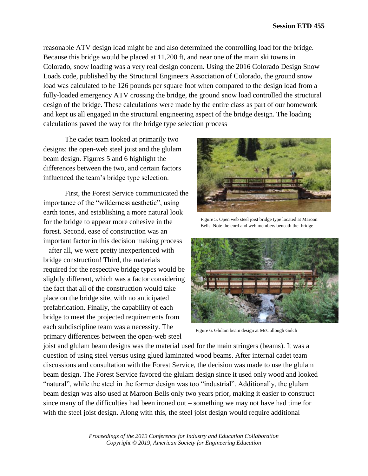reasonable ATV design load might be and also determined the controlling load for the bridge. Because this bridge would be placed at 11,200 ft, and near one of the main ski towns in Colorado, snow loading was a very real design concern. Using the 2016 Colorado Design Snow Loads code, published by the Structural Engineers Association of Colorado, the ground snow load was calculated to be 126 pounds per square foot when compared to the design load from a fully-loaded emergency ATV crossing the bridge, the ground snow load controlled the structural design of the bridge. These calculations were made by the entire class as part of our homework and kept us all engaged in the structural engineering aspect of the bridge design. The loading calculations paved the way for the bridge type selection process

The cadet team looked at primarily two designs: the open-web steel joist and the glulam beam design. Figures 5 and 6 highlight the differences between the two, and certain factors influenced the team's bridge type selection.

First, the Forest Service communicated the importance of the "wilderness aesthetic", using earth tones, and establishing a more natural look for the bridge to appear more cohesive in the forest. Second, ease of construction was an important factor in this decision making process – after all, we were pretty inexperienced with bridge construction! Third, the materials required for the respective bridge types would be slightly different, which was a factor considering the fact that all of the construction would take place on the bridge site, with no anticipated prefabrication. Finally, the capability of each bridge to meet the projected requirements from each subdiscipline team was a necessity. The primary differences between the open-web steel



Figure 5. Open web steel joist bridge type located at Maroon Bells. Note the cord and web members beneath the bridge



Figure 6. Glulam beam design at McCullough Gulch

joist and glulam beam designs was the material used for the main stringers (beams). It was a question of using steel versus using glued laminated wood beams. After internal cadet team discussions and consultation with the Forest Service, the decision was made to use the glulam beam design. The Forest Service favored the glulam design since it used only wood and looked "natural", while the steel in the former design was too "industrial". Additionally, the glulam beam design was also used at Maroon Bells only two years prior, making it easier to construct since many of the difficulties had been ironed out – something we may not have had time for with the steel joist design. Along with this, the steel joist design would require additional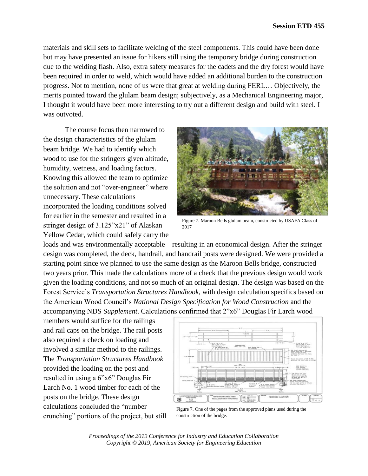materials and skill sets to facilitate welding of the steel components. This could have been done but may have presented an issue for hikers still using the temporary bridge during construction due to the welding flash. Also, extra safety measures for the cadets and the dry forest would have been required in order to weld, which would have added an additional burden to the construction progress. Not to mention, none of us were that great at welding during FERL… Objectively, the merits pointed toward the glulam beam design; subjectively, as a Mechanical Engineering major, I thought it would have been more interesting to try out a different design and build with steel. I was outvoted.

The course focus then narrowed to the design characteristics of the glulam beam bridge. We had to identify which wood to use for the stringers given altitude, humidity, wetness, and loading factors. Knowing this allowed the team to optimize the solution and not "over-engineer" where unnecessary. These calculations incorporated the loading conditions solved for earlier in the semester and resulted in a stringer design of 3.125"x21" of Alaskan Yellow Cedar, which could safely carry the



Figure 7. Maroon Bells glulam beam, constructed by USAFA Class of 2017

loads and was environmentally acceptable – resulting in an economical design. After the stringer design was completed, the deck, handrail, and handrail posts were designed. We were provided a starting point since we planned to use the same design as the Maroon Bells bridge, constructed two years prior. This made the calculations more of a check that the previous design would work given the loading conditions, and not so much of an original design. The design was based on the Forest Service's *Transportation Structures Handbook*, with design calculation specifics based on the American Wood Council's *National Design Specification for Wood Construction* and the accompanying NDS S*upplement*. Calculations confirmed that 2"x6" Douglas Fir Larch wood

members would suffice for the railings and rail caps on the bridge. The rail posts also required a check on loading and involved a similar method to the railings. The *Transportation Structures Handbook* provided the loading on the post and resulted in using a 6"x6" Douglas Fir Larch No. 1 wood timber for each of the posts on the bridge. These design calculations concluded the "number crunching" portions of the project, but still



Figure 7. One of the pages from the approved plans used during the construction of the bridge.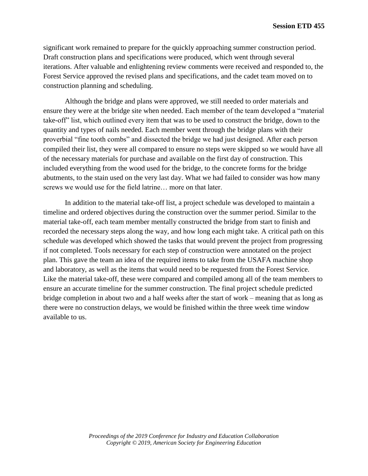significant work remained to prepare for the quickly approaching summer construction period. Draft construction plans and specifications were produced, which went through several iterations. After valuable and enlightening review comments were received and responded to, the Forest Service approved the revised plans and specifications, and the cadet team moved on to construction planning and scheduling.

Although the bridge and plans were approved, we still needed to order materials and ensure they were at the bridge site when needed. Each member of the team developed a "material take-off" list, which outlined every item that was to be used to construct the bridge, down to the quantity and types of nails needed. Each member went through the bridge plans with their proverbial "fine tooth combs" and dissected the bridge we had just designed. After each person compiled their list, they were all compared to ensure no steps were skipped so we would have all of the necessary materials for purchase and available on the first day of construction. This included everything from the wood used for the bridge, to the concrete forms for the bridge abutments, to the stain used on the very last day. What we had failed to consider was how many screws we would use for the field latrine… more on that later.

In addition to the material take-off list, a project schedule was developed to maintain a timeline and ordered objectives during the construction over the summer period. Similar to the material take-off, each team member mentally constructed the bridge from start to finish and recorded the necessary steps along the way, and how long each might take. A critical path on this schedule was developed which showed the tasks that would prevent the project from progressing if not completed. Tools necessary for each step of construction were annotated on the project plan. This gave the team an idea of the required items to take from the USAFA machine shop and laboratory, as well as the items that would need to be requested from the Forest Service. Like the material take-off, these were compared and compiled among all of the team members to ensure an accurate timeline for the summer construction. The final project schedule predicted bridge completion in about two and a half weeks after the start of work – meaning that as long as there were no construction delays, we would be finished within the three week time window available to us.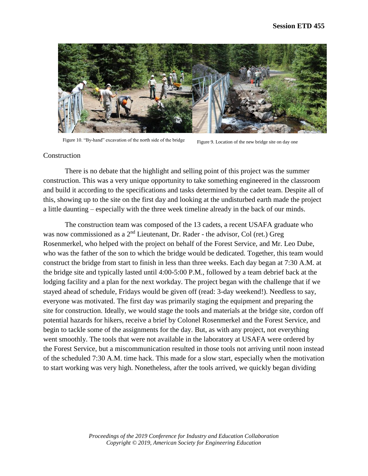

Figure 10. "By-hand" excavation of the north side of the bridge Figure 9. Location of the new bridge site on day one

# Construction

There is no debate that the highlight and selling point of this project was the summer construction. This was a very unique opportunity to take something engineered in the classroom and build it according to the specifications and tasks determined by the cadet team. Despite all of this, showing up to the site on the first day and looking at the undisturbed earth made the project a little daunting – especially with the three week timeline already in the back of our minds.

The construction team was composed of the 13 cadets, a recent USAFA graduate who was now commissioned as a 2<sup>nd</sup> Lieutenant, Dr. Rader - the advisor, Col (ret.) Greg Rosenmerkel, who helped with the project on behalf of the Forest Service, and Mr. Leo Dube, who was the father of the son to which the bridge would be dedicated. Together, this team would construct the bridge from start to finish in less than three weeks. Each day began at 7:30 A.M. at the bridge site and typically lasted until 4:00-5:00 P.M., followed by a team debrief back at the lodging facility and a plan for the next workday. The project began with the challenge that if we stayed ahead of schedule, Fridays would be given off (read: 3-day weekend!). Needless to say, everyone was motivated. The first day was primarily staging the equipment and preparing the site for construction. Ideally, we would stage the tools and materials at the bridge site, cordon off potential hazards for hikers, receive a brief by Colonel Rosenmerkel and the Forest Service, and begin to tackle some of the assignments for the day. But, as with any project, not everything went smoothly. The tools that were not available in the laboratory at USAFA were ordered by the Forest Service, but a miscommunication resulted in those tools not arriving until noon instead of the scheduled 7:30 A.M. time hack. This made for a slow start, especially when the motivation to start working was very high. Nonetheless, after the tools arrived, we quickly began dividing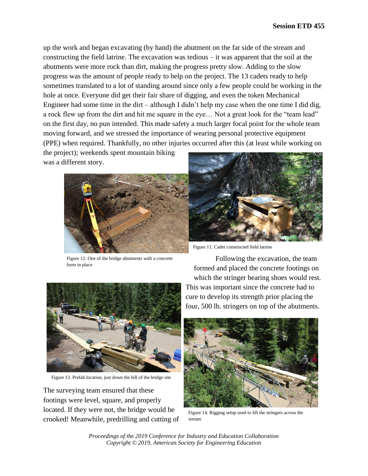up the work and began excavating (by hand) the abutment on the far side of the stream and constructing the field latrine. The excavation was tedious – it was apparent that the soil at the abutments were more rock than dirt, making the progress pretty slow. Adding to the slow progress was the amount of people ready to help on the project. The 13 cadets ready to help sometimes translated to a lot of standing around since only a few people could be working in the hole at once. Everyone did get their fair share of digging, and even the token Mechanical Engineer had some time in the dirt – although I didn't help my case when the one time I did dig, a rock flew up from the dirt and hit me square in the eye… Not a great look for the "team lead" on the first day, no pun intended. This made safety a much larger focal point for the whole team moving forward, and we stressed the importance of wearing personal protective equipment (PPE) when required. Thankfully, no other injuries occurred after this (at least while working on

the project); weekends spent mountain biking was a different story.



Figure 12. One of the bridge abutments with a concrete form in place

Following the excavation, the team formed and placed the concrete footings on which the stringer bearing shoes would rest.

This was important since the concrete had to cure to develop its strength prior placing the four, 500 lb. stringers on top of the abutments.

Figure 11. Cadet constructed field latrine

Figure 13. Prefab location, just down the hill of the bridge site

The surveying team ensured that these footings were level, square, and properly located. If they were not, the bridge would be crooked! Meanwhile, predrilling and cutting of



Figure 14. Rigging setup used to lift the stringers across the stream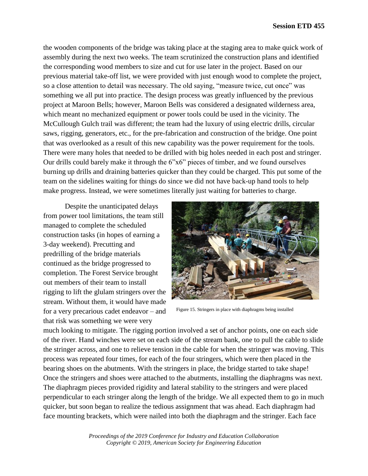the wooden components of the bridge was taking place at the staging area to make quick work of assembly during the next two weeks. The team scrutinized the construction plans and identified the corresponding wood members to size and cut for use later in the project. Based on our previous material take-off list, we were provided with just enough wood to complete the project, so a close attention to detail was necessary. The old saying, "measure twice, cut once" was something we all put into practice. The design process was greatly influenced by the previous project at Maroon Bells; however, Maroon Bells was considered a designated wilderness area, which meant no mechanized equipment or power tools could be used in the vicinity. The McCullough Gulch trail was different; the team had the luxury of using electric drills, circular saws, rigging, generators, etc., for the pre-fabrication and construction of the bridge. One point that was overlooked as a result of this new capability was the power requirement for the tools. There were many holes that needed to be drilled with big holes needed in each post and stringer. Our drills could barely make it through the 6"x6" pieces of timber, and we found ourselves burning up drills and draining batteries quicker than they could be charged. This put some of the team on the sidelines waiting for things do since we did not have back-up hand tools to help make progress. Instead, we were sometimes literally just waiting for batteries to charge.

Despite the unanticipated delays from power tool limitations, the team still managed to complete the scheduled construction tasks (in hopes of earning a 3-day weekend). Precutting and predrilling of the bridge materials continued as the bridge progressed to completion. The Forest Service brought out members of their team to install rigging to lift the glulam stringers over the stream. Without them, it would have made for a very precarious cadet endeavor – and that risk was something we were very



Figure 15. Stringers in place with diaphragms being installed

much looking to mitigate. The rigging portion involved a set of anchor points, one on each side of the river. Hand winches were set on each side of the stream bank, one to pull the cable to slide the stringer across, and one to relieve tension in the cable for when the stringer was moving. This process was repeated four times, for each of the four stringers, which were then placed in the bearing shoes on the abutments. With the stringers in place, the bridge started to take shape! Once the stringers and shoes were attached to the abutments, installing the diaphragms was next. The diaphragm pieces provided rigidity and lateral stability to the stringers and were placed perpendicular to each stringer along the length of the bridge. We all expected them to go in much quicker, but soon began to realize the tedious assignment that was ahead. Each diaphragm had face mounting brackets, which were nailed into both the diaphragm and the stringer. Each face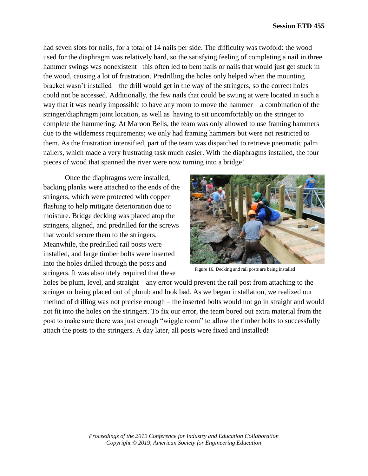had seven slots for nails, for a total of 14 nails per side. The difficulty was twofold: the wood used for the diaphragm was relatively hard, so the satisfying feeling of completing a nail in three hammer swings was nonexistent– this often led to bent nails or nails that would just get stuck in the wood, causing a lot of frustration. Predrilling the holes only helped when the mounting bracket wasn't installed – the drill would get in the way of the stringers, so the correct holes could not be accessed. Additionally, the few nails that could be swung at were located in such a way that it was nearly impossible to have any room to move the hammer – a combination of the stringer/diaphragm joint location, as well as having to sit uncomfortably on the stringer to complete the hammering. At Maroon Bells, the team was only allowed to use framing hammers due to the wilderness requirements; we only had framing hammers but were not restricted to them. As the frustration intensified, part of the team was dispatched to retrieve pneumatic palm nailers, which made a very frustrating task much easier. With the diaphragms installed, the four pieces of wood that spanned the river were now turning into a bridge!

Once the diaphragms were installed, backing planks were attached to the ends of the stringers, which were protected with copper flashing to help mitigate deterioration due to moisture. Bridge decking was placed atop the stringers, aligned, and predrilled for the screws that would secure them to the stringers. Meanwhile, the predrilled rail posts were installed, and large timber bolts were inserted into the holes drilled through the posts and stringers. It was absolutely required that these



Figure 16. Decking and rail posts are being installed

holes be plum, level, and straight – any error would prevent the rail post from attaching to the stringer or being placed out of plumb and look bad. As we began installation, we realized our method of drilling was not precise enough – the inserted bolts would not go in straight and would not fit into the holes on the stringers. To fix our error, the team bored out extra material from the post to make sure there was just enough "wiggle room" to allow the timber bolts to successfully attach the posts to the stringers. A day later, all posts were fixed and installed!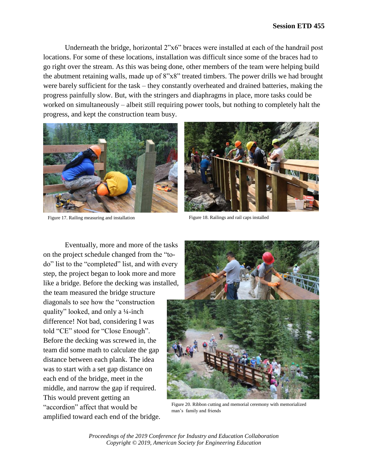Underneath the bridge, horizontal 2"x6" braces were installed at each of the handrail post locations. For some of these locations, installation was difficult since some of the braces had to go right over the stream. As this was being done, other members of the team were helping build the abutment retaining walls, made up of 8"x8" treated timbers. The power drills we had brought were barely sufficient for the task – they constantly overheated and drained batteries, making the progress painfully slow. But, with the stringers and diaphragms in place, more tasks could be worked on simultaneously – albeit still requiring power tools, but nothing to completely halt the progress, and kept the construction team busy.



Figure 17. Railing measuring and installation Figure 18. Railings and rail caps installed



Eventually, more and more of the tasks on the project schedule changed from the "todo" list to the "completed" list, and with every step, the project began to look more and more like a bridge. Before the decking was installed, the team measured the bridge structure diagonals to see how the "construction quality" looked, and only a ¼-inch difference! Not bad, considering I was told "CE" stood for "Close Enough". Before the decking was screwed in, the team did some math to calculate the gap distance between each plank. The idea was to start with a set gap distance on each end of the bridge, meet in the middle, and narrow the gap if required. This would prevent getting an "accordion" affect that would be amplified toward each end of the bridge.



Figure 20. Ribbon cutting and memorial ceremony with memorialized man's family and friends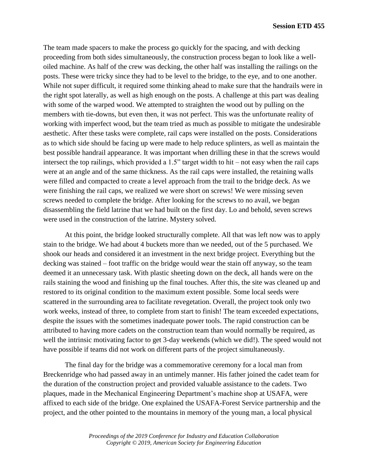The team made spacers to make the process go quickly for the spacing, and with decking proceeding from both sides simultaneously, the construction process began to look like a welloiled machine. As half of the crew was decking, the other half was installing the railings on the posts. These were tricky since they had to be level to the bridge, to the eye, and to one another. While not super difficult, it required some thinking ahead to make sure that the handrails were in the right spot laterally, as well as high enough on the posts. A challenge at this part was dealing with some of the warped wood. We attempted to straighten the wood out by pulling on the members with tie-downs, but even then, it was not perfect. This was the unfortunate reality of working with imperfect wood, but the team tried as much as possible to mitigate the undesirable aesthetic. After these tasks were complete, rail caps were installed on the posts. Considerations as to which side should be facing up were made to help reduce splinters, as well as maintain the best possible handrail appearance. It was important when drilling these in that the screws would intersect the top railings, which provided a 1.5" target width to hit – not easy when the rail caps were at an angle and of the same thickness. As the rail caps were installed, the retaining walls were filled and compacted to create a level approach from the trail to the bridge deck. As we were finishing the rail caps, we realized we were short on screws! We were missing seven screws needed to complete the bridge. After looking for the screws to no avail, we began disassembling the field latrine that we had built on the first day. Lo and behold, seven screws were used in the construction of the latrine. Mystery solved.

At this point, the bridge looked structurally complete. All that was left now was to apply stain to the bridge. We had about 4 buckets more than we needed, out of the 5 purchased. We shook our heads and considered it an investment in the next bridge project. Everything but the decking was stained – foot traffic on the bridge would wear the stain off anyway, so the team deemed it an unnecessary task. With plastic sheeting down on the deck, all hands were on the rails staining the wood and finishing up the final touches. After this, the site was cleaned up and restored to its original condition to the maximum extent possible. Some local seeds were scattered in the surrounding area to facilitate revegetation. Overall, the project took only two work weeks, instead of three, to complete from start to finish! The team exceeded expectations, despite the issues with the sometimes inadequate power tools. The rapid construction can be attributed to having more cadets on the construction team than would normally be required, as well the intrinsic motivating factor to get 3-day weekends (which we did!). The speed would not have possible if teams did not work on different parts of the project simultaneously.

The final day for the bridge was a commemorative ceremony for a local man from Breckenridge who had passed away in an untimely manner. His father joined the cadet team for the duration of the construction project and provided valuable assistance to the cadets. Two plaques, made in the Mechanical Engineering Department's machine shop at USAFA, were affixed to each side of the bridge. One explained the USAFA-Forest Service partnership and the project, and the other pointed to the mountains in memory of the young man, a local physical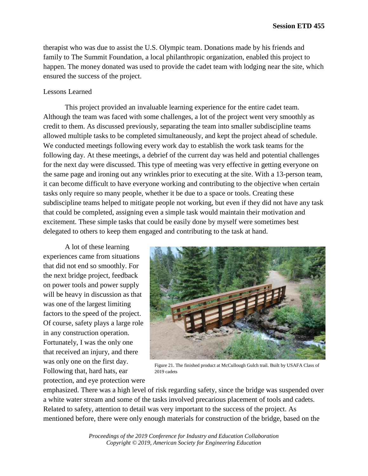therapist who was due to assist the U.S. Olympic team. Donations made by his friends and family to The Summit Foundation, a local philanthropic organization, enabled this project to happen. The money donated was used to provide the cadet team with lodging near the site, which ensured the success of the project.

# Lessons Learned

This project provided an invaluable learning experience for the entire cadet team. Although the team was faced with some challenges, a lot of the project went very smoothly as credit to them. As discussed previously, separating the team into smaller subdiscipline teams allowed multiple tasks to be completed simultaneously, and kept the project ahead of schedule. We conducted meetings following every work day to establish the work task teams for the following day. At these meetings, a debrief of the current day was held and potential challenges for the next day were discussed. This type of meeting was very effective in getting everyone on the same page and ironing out any wrinkles prior to executing at the site. With a 13-person team, it can become difficult to have everyone working and contributing to the objective when certain tasks only require so many people, whether it be due to a space or tools. Creating these subdiscipline teams helped to mitigate people not working, but even if they did not have any task that could be completed, assigning even a simple task would maintain their motivation and excitement. These simple tasks that could be easily done by myself were sometimes best delegated to others to keep them engaged and contributing to the task at hand.

A lot of these learning experiences came from situations that did not end so smoothly. For the next bridge project, feedback on power tools and power supply will be heavy in discussion as that was one of the largest limiting factors to the speed of the project. Of course, safety plays a large role in any construction operation. Fortunately, I was the only one that received an injury, and there was only one on the first day. Following that, hard hats, ear protection, and eye protection were



Figure 21. The finished product at McCullough Gulch trail. Built by USAFA Class of 2019 cadets

emphasized. There was a high level of risk regarding safety, since the bridge was suspended over a white water stream and some of the tasks involved precarious placement of tools and cadets. Related to safety, attention to detail was very important to the success of the project. As mentioned before, there were only enough materials for construction of the bridge, based on the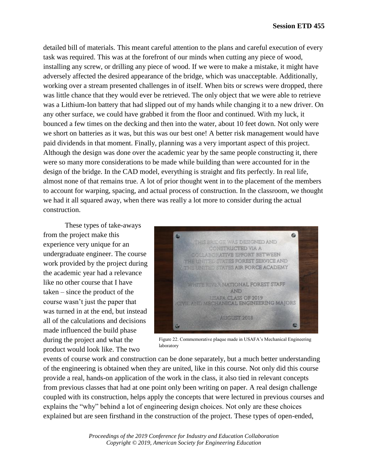detailed bill of materials. This meant careful attention to the plans and careful execution of every task was required. This was at the forefront of our minds when cutting any piece of wood, installing any screw, or drilling any piece of wood. If we were to make a mistake, it might have adversely affected the desired appearance of the bridge, which was unacceptable. Additionally, working over a stream presented challenges in of itself. When bits or screws were dropped, there was little chance that they would ever be retrieved. The only object that we were able to retrieve was a Lithium-Ion battery that had slipped out of my hands while changing it to a new driver. On any other surface, we could have grabbed it from the floor and continued. With my luck, it bounced a few times on the decking and then into the water, about 10 feet down. Not only were we short on batteries as it was, but this was our best one! A better risk management would have paid dividends in that moment. Finally, planning was a very important aspect of this project. Although the design was done over the academic year by the same people constructing it, there were so many more considerations to be made while building than were accounted for in the design of the bridge. In the CAD model, everything is straight and fits perfectly. In real life, almost none of that remains true. A lot of prior thought went in to the placement of the members to account for warping, spacing, and actual process of construction. In the classroom, we thought we had it all squared away, when there was really a lot more to consider during the actual construction.

These types of take-aways from the project make this experience very unique for an undergraduate engineer. The course work provided by the project during the academic year had a relevance like no other course that I have taken – since the product of the course wasn't just the paper that was turned in at the end, but instead all of the calculations and decisions made influenced the build phase during the project and what the product would look like. The two



Figure 22. Commemorative plaque made in USAFA's Mechanical Engineering laboratory

events of course work and construction can be done separately, but a much better understanding of the engineering is obtained when they are united, like in this course. Not only did this course provide a real, hands-on application of the work in the class, it also tied in relevant concepts from previous classes that had at one point only been writing on paper. A real design challenge coupled with its construction, helps apply the concepts that were lectured in previous courses and explains the "why" behind a lot of engineering design choices. Not only are these choices explained but are seen firsthand in the construction of the project. These types of open-ended,